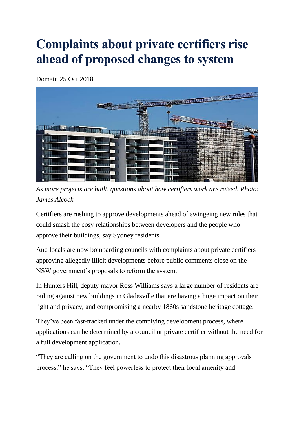## **Complaints about private certifiers rise ahead of proposed changes to system**

Domain 25 Oct 2018



*As more projects are built, questions about how certifiers work are raised. Photo: James Alcock*

Certifiers are rushing to approve developments ahead of swingeing new rules that could smash the cosy relationships between developers and the people who approve their buildings, say Sydney residents.

And locals are now bombarding councils with complaints about private certifiers approving allegedly illicit developments before public comments close on the NSW government's proposals to reform the system.

In Hunters Hill, deputy mayor Ross Williams says a large number of residents are railing against new buildings in Gladesville that are having a huge impact on their light and privacy, and compromising a nearby 1860s sandstone heritage cottage.

They've been fast-tracked under the complying development process, where applications can be determined by a council or private certifier without the need for a full development application.

"They are calling on the government to undo this disastrous planning approvals process," he says. "They feel powerless to protect their local amenity and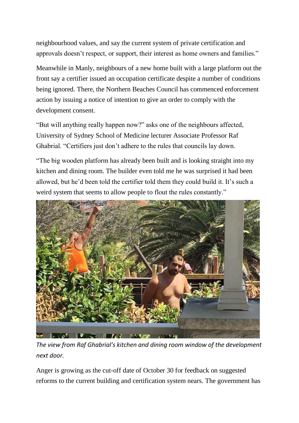neighbourhood values, and say the current system of private certification and approvals doesn't respect, or support, their interest as home owners and families."

Meanwhile in Manly, neighbours of a new home built with a large platform out the front say a certifier issued an occupation certificate despite a number of conditions being ignored. There, the Northern Beaches Council has commenced enforcement action by issuing a notice of intention to give an order to comply with the development consent.

"But will anything really happen now?" asks one of the neighbours affected, University of Sydney School of Medicine lecturer Associate Professor Raf Ghabrial. "Certifiers just don't adhere to the rules that councils lay down.

"The big wooden platform has already been built and is looking straight into my kitchen and dining room. The builder even told me he was surprised it had been allowed, but he'd been told the certifier told them they could build it. It's such a weird system that seems to allow people to flout the rules constantly."



*The view from Raf Ghabrial's kitchen and dining room window of the development next door.*

Anger is growing as the cut-off date of October 30 for feedback on suggested reforms to the current building and certification system nears. The government has